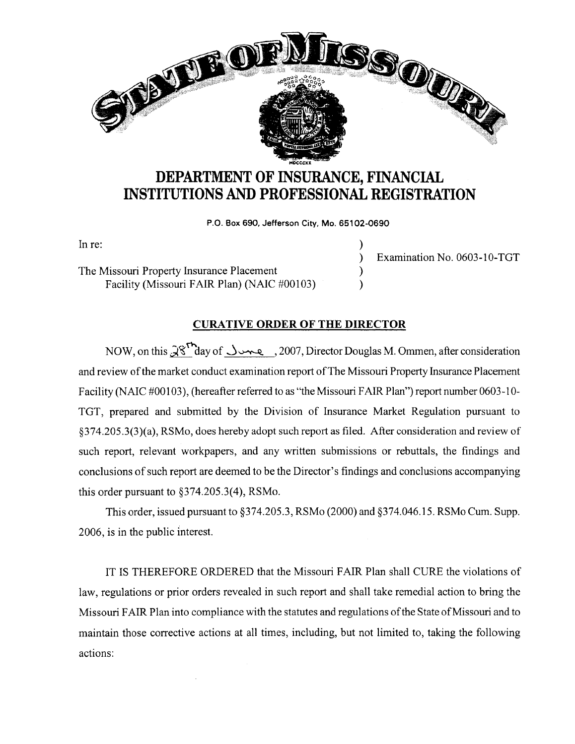

## **DEPARTMENT OF INSURANCE, FINANCIAL INSTITUTIONS AND PROFESSIONAL REGISTRATION**

**P.O. Box 690, Jefferson City, Mo. 65102-0690** 

)

)

In re:

The Missouri Property Insurance Placement Facility (Missouri FAIR Plan) (NAIC #00103) ) ) Examination No. 0603-10-TGT

## **CURATIVE ORDER OF THE DIRECTOR**

NOW, on this  $\mathcal{X}^{\uparrow}$ day of  $\downarrow$ مصل , 2007, Director Douglas M. Ommen, after consideration and review of the market conduct examination report of The Missouri Property Insurance Placement Facility (NAIC #00103), (hereafter referred to as "the Missouri FAIR Plan") report number 0603-10- TGT, prepared and submitted by the Division of Insurance Market Regulation pursuant to §374.205.3(3)(a), RSMo, does hereby adopt such report as filed. After consideration and review of such report, relevant workpapers, and any written submissions or rebuttals, the findings and conclusions of such report are deemed to be the Director's findings and conclusions accompanying this order pursuant to §374.205.3(4), RSMo.

This order, issued pursuant to §374.205.3, RSMo (2000) and §374.046.15. RSMo Cum. Supp. 2006, is in the public interest.

IT IS THEREFORE ORDERED that the Missouri FAIR Plan shall CURE the violations of law, regulations or prior orders revealed in such report and shall take remedial action to bring the Missouri FAIR Plan into compliance with the statutes and regulations of the State of Missouri and to maintain those corrective actions at all times, including, but not limited to, taking the following actions: